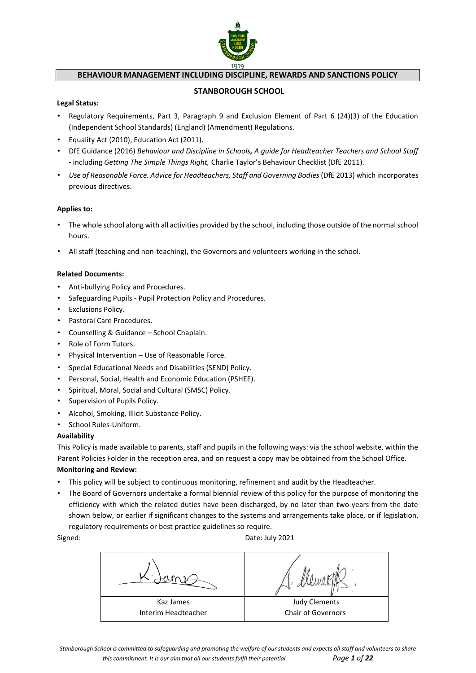

# **BEHAVIOUR MANAGEMENT INCLUDING DISCIPLINE, REWARDS AND SANCTIONS POLICY**

#### **STANBOROUGH SCHOOL**

#### **Legal Status:**

- Regulatory Requirements, Part 3, Paragraph 9 and Exclusion Element of Part 6 (24)(3) of the Education (Independent School Standards) (England) (Amendment) Regulations.
- Equality Act (2010), Education Act (2011).
- DfE Guidance (2016) *Behaviour and Discipline in Schools, A guide for Headteacher Teachers and School Staff* **-** including *Getting The Simple Things Right,* Charlie Taylor's Behaviour Checklist (DfE 2011).
- *Use of Reasonable Force. Advice for Headteachers, Staff and Governing Bodies*(DfE 2013) which incorporates previous directives.

#### **Applies to:**

- The whole school along with all activities provided by the school, including those outside of the normal school hours.
- All staff (teaching and non-teaching), the Governors and volunteers working in the school.

#### **Related Documents:**

- Anti-bullying Policy and Procedures.
- Safeguarding Pupils Pupil Protection Policy and Procedures.
- Exclusions Policy.
- Pastoral Care Procedures.
- Counselling & Guidance School Chaplain.
- Role of Form Tutors.
- Physical Intervention Use of Reasonable Force.
- Special Educational Needs and Disabilities (SEND) Policy.
- Personal, Social, Health and Economic Education (PSHEE).
- Spiritual, Moral, Social and Cultural (SMSC) Policy.
- Supervision of Pupils Policy.
- Alcohol, Smoking, Illicit Substance Policy.
- School Rules-Uniform.

#### **Availability**

This Policy is made available to parents, staff and pupils in the following ways: via the school website, within the Parent Policies Folder in the reception area, and on request a copy may be obtained from the School Office.

#### **Monitoring and Review:**

- This policy will be subject to continuous monitoring, refinement and audit by the Headteacher.
- The Board of Governors undertake a formal biennial review of this policy for the purpose of monitoring the efficiency with which the related duties have been discharged, by no later than two years from the date shown below, or earlier if significant changes to the systems and arrangements take place, or if legislation, regulatory requirements or best practice guidelines so require.

Signed: **Date: July 2021** 

Kaz James Interim Headteacher Judy Clements Chair of Governors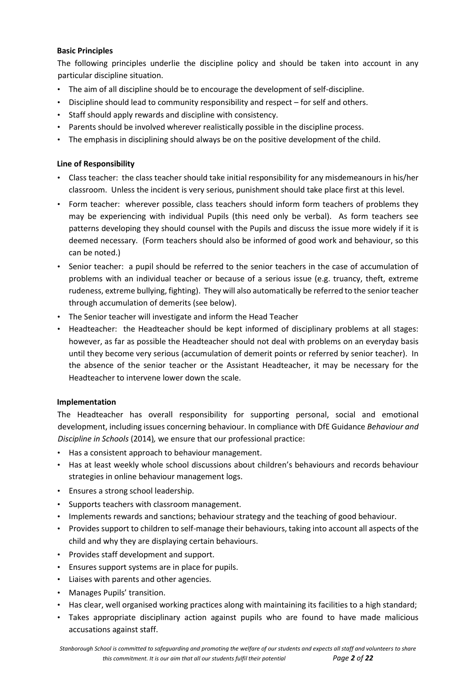# **Basic Principles**

The following principles underlie the discipline policy and should be taken into account in any particular discipline situation.

- The aim of all discipline should be to encourage the development of self-discipline.
- Discipline should lead to community responsibility and respect for self and others.
- Staff should apply rewards and discipline with consistency.
- Parents should be involved wherever realistically possible in the discipline process.
- The emphasis in disciplining should always be on the positive development of the child.

# **Line of Responsibility**

- Class teacher: the class teacher should take initial responsibility for any misdemeanours in his/her classroom. Unless the incident is very serious, punishment should take place first at this level.
- Form teacher: wherever possible, class teachers should inform form teachers of problems they may be experiencing with individual Pupils (this need only be verbal). As form teachers see patterns developing they should counsel with the Pupils and discuss the issue more widely if it is deemed necessary. (Form teachers should also be informed of good work and behaviour, so this can be noted.)
- Senior teacher: a pupil should be referred to the senior teachers in the case of accumulation of problems with an individual teacher or because of a serious issue (e.g. truancy, theft, extreme rudeness, extreme bullying, fighting). They will also automatically be referred to the senior teacher through accumulation of demerits (see below).
- The Senior teacher will investigate and inform the Head Teacher
- Headteacher: the Headteacher should be kept informed of disciplinary problems at all stages: however, as far as possible the Headteacher should not deal with problems on an everyday basis until they become very serious (accumulation of demerit points or referred by senior teacher). In the absence of the senior teacher or the Assistant Headteacher, it may be necessary for the Headteacher to intervene lower down the scale.

# **Implementation**

The Headteacher has overall responsibility for supporting personal, social and emotional development, including issues concerning behaviour. In compliance with DfE Guidance *Behaviour and Discipline in Schools* (2014)*,* we ensure that our professional practice:

- Has a consistent approach to behaviour management.
- Has at least weekly whole school discussions about children's behaviours and records behaviour strategies in online behaviour management logs.
- Ensures a strong school leadership.
- Supports teachers with classroom management.
- Implements rewards and sanctions; behaviour strategy and the teaching of good behaviour.
- Provides support to children to self-manage their behaviours, taking into account all aspects of the child and why they are displaying certain behaviours.
- Provides staff development and support.
- Ensures support systems are in place for pupils.
- Liaises with parents and other agencies.
- Manages Pupils' transition.
- Has clear, well organised working practices along with maintaining its facilities to a high standard;
- Takes appropriate disciplinary action against pupils who are found to have made malicious accusations against staff.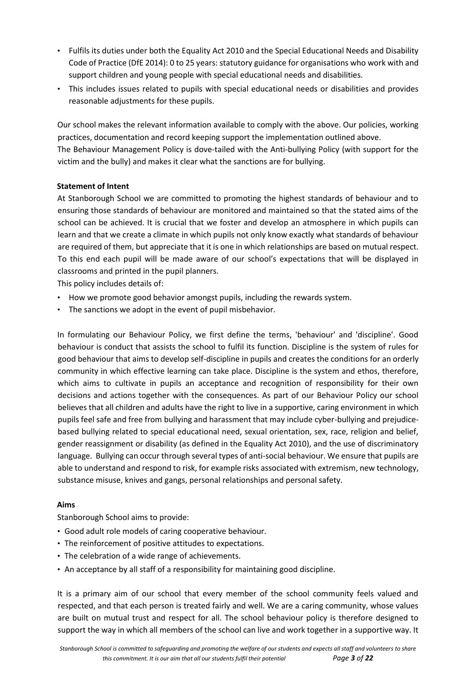- Fulfils its duties under both the Equality Act 2010 and the Special Educational Needs and Disability Code of Practice (DfE 2014): 0 to 25 years: statutory guidance for organisations who work with and support children and young people with special educational needs and disabilities.
- This includes issues related to pupils with special educational needs or disabilities and provides reasonable adjustments for these pupils.

Our school makes the relevant information available to comply with the above. Our policies, working practices, documentation and record keeping support the implementation outlined above.

The Behaviour Management Policy is dove-tailed with the Anti-bullying Policy (with support for the victim and the bully) and makes it clear what the sanctions are for bullying.

# **Statement of Intent**

At Stanborough School we are committed to promoting the highest standards of behaviour and to ensuring those standards of behaviour are monitored and maintained so that the stated aims of the school can be achieved. It is crucial that we foster and develop an atmosphere in which pupils can learn and that we create a climate in which pupils not only know exactly what standards of behaviour are required of them, but appreciate that it is one in which relationships are based on mutual respect. To this end each pupil will be made aware of our school's expectations that will be displayed in classrooms and printed in the pupil planners.

This policy includes details of:

- How we promote good behavior amongst pupils, including the rewards system.
- The sanctions we adopt in the event of pupil misbehavior.

In formulating our Behaviour Policy, we first define the terms, 'behaviour' and 'discipline'. Good behaviour is conduct that assists the school to fulfil its function. Discipline is the system of rules for good behaviour that aims to develop self-discipline in pupils and creates the conditions for an orderly community in which effective learning can take place. Discipline is the system and ethos, therefore, which aims to cultivate in pupils an acceptance and recognition of responsibility for their own decisions and actions together with the consequences. As part of our Behaviour Policy our school believes that all children and adults have the right to live in a supportive, caring environment in which pupils feel safe and free from bullying and harassment that may include cyber-bullying and prejudicebased bullying related to special educational need, sexual orientation, sex, race, religion and belief, gender reassignment or disability (as defined in the Equality Act 2010), and the use of discriminatory language. Bullying can occur through several types of anti-social behaviour. We ensure that pupils are able to understand and respond to risk, for example risks associated with extremism, new technology, substance misuse, knives and gangs, personal relationships and personal safety.

# **Aims**

Stanborough School aims to provide:

- Good adult role models of caring cooperative behaviour.
- The reinforcement of positive attitudes to expectations.
- The celebration of a wide range of achievements.
- An acceptance by all staff of a responsibility for maintaining good discipline.

It is a primary aim of our school that every member of the school community feels valued and respected, and that each person is treated fairly and well. We are a caring community, whose values are built on mutual trust and respect for all. The school behaviour policy is therefore designed to support the way in which all members of the school can live and work together in a supportive way. It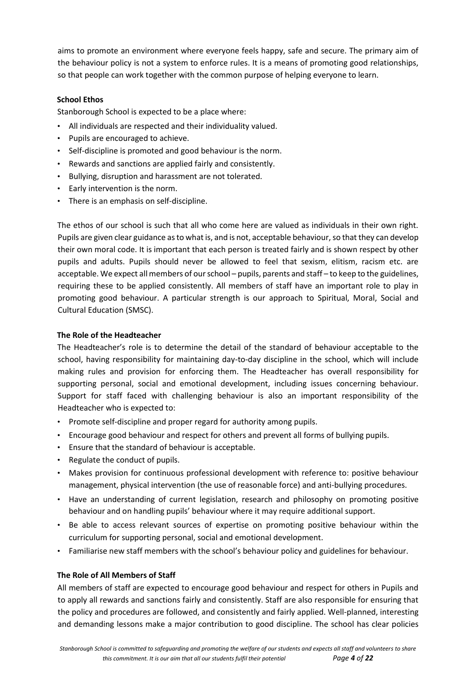aims to promote an environment where everyone feels happy, safe and secure. The primary aim of the behaviour policy is not a system to enforce rules. It is a means of promoting good relationships, so that people can work together with the common purpose of helping everyone to learn.

# **School Ethos**

Stanborough School is expected to be a place where:

- All individuals are respected and their individuality valued.
- Pupils are encouraged to achieve.
- Self-discipline is promoted and good behaviour is the norm.
- Rewards and sanctions are applied fairly and consistently.
- Bullying, disruption and harassment are not tolerated.
- Early intervention is the norm.
- There is an emphasis on self-discipline.

The ethos of our school is such that all who come here are valued as individuals in their own right. Pupils are given clear guidance as to what is, and is not, acceptable behaviour, so that they can develop their own moral code. It is important that each person is treated fairly and is shown respect by other pupils and adults. Pupils should never be allowed to feel that sexism, elitism, racism etc. are acceptable. We expect all members of our school – pupils, parents and staff – to keep to the guidelines, requiring these to be applied consistently. All members of staff have an important role to play in promoting good behaviour. A particular strength is our approach to Spiritual, Moral, Social and Cultural Education (SMSC).

# **The Role of the Headteacher**

The Headteacher's role is to determine the detail of the standard of behaviour acceptable to the school, having responsibility for maintaining day-to-day discipline in the school, which will include making rules and provision for enforcing them. The Headteacher has overall responsibility for supporting personal, social and emotional development, including issues concerning behaviour. Support for staff faced with challenging behaviour is also an important responsibility of the Headteacher who is expected to:

- Promote self-discipline and proper regard for authority among pupils.
- Encourage good behaviour and respect for others and prevent all forms of bullying pupils.
- Ensure that the standard of behaviour is acceptable.
- Regulate the conduct of pupils.
- Makes provision for continuous professional development with reference to: positive behaviour management, physical intervention (the use of reasonable force) and anti-bullying procedures.
- Have an understanding of current legislation, research and philosophy on promoting positive behaviour and on handling pupils' behaviour where it may require additional support.
- Be able to access relevant sources of expertise on promoting positive behaviour within the curriculum for supporting personal, social and emotional development.
- Familiarise new staff members with the school's behaviour policy and guidelines for behaviour.

#### **The Role of All Members of Staff**

All members of staff are expected to encourage good behaviour and respect for others in Pupils and to apply all rewards and sanctions fairly and consistently. Staff are also responsible for ensuring that the policy and procedures are followed, and consistently and fairly applied. Well-planned, interesting and demanding lessons make a major contribution to good discipline. The school has clear policies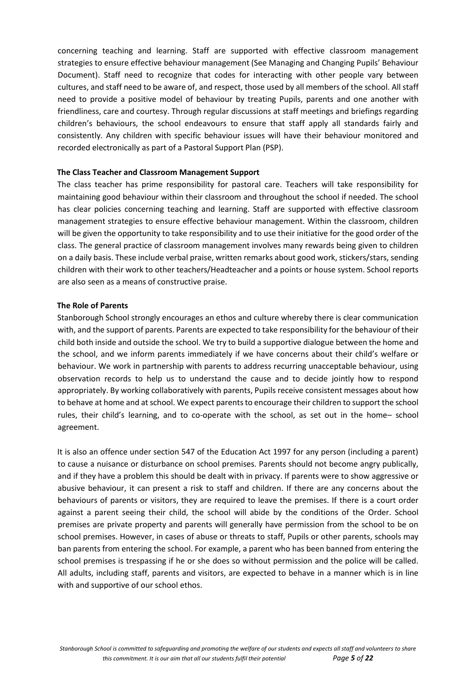concerning teaching and learning. Staff are supported with effective classroom management strategies to ensure effective behaviour management (See Managing and Changing Pupils' Behaviour Document). Staff need to recognize that codes for interacting with other people vary between cultures, and staff need to be aware of, and respect, those used by all members of the school. All staff need to provide a positive model of behaviour by treating Pupils, parents and one another with friendliness, care and courtesy. Through regular discussions at staff meetings and briefings regarding children's behaviours, the school endeavours to ensure that staff apply all standards fairly and consistently. Any children with specific behaviour issues will have their behaviour monitored and recorded electronically as part of a Pastoral Support Plan (PSP).

#### **The Class Teacher and Classroom Management Support**

The class teacher has prime responsibility for pastoral care. Teachers will take responsibility for maintaining good behaviour within their classroom and throughout the school if needed. The school has clear policies concerning teaching and learning. Staff are supported with effective classroom management strategies to ensure effective behaviour management. Within the classroom, children will be given the opportunity to take responsibility and to use their initiative for the good order of the class. The general practice of classroom management involves many rewards being given to children on a daily basis. These include verbal praise, written remarks about good work, stickers/stars, sending children with their work to other teachers/Headteacher and a points or house system. School reports are also seen as a means of constructive praise.

#### **The Role of Parents**

Stanborough School strongly encourages an ethos and culture whereby there is clear communication with, and the support of parents. Parents are expected to take responsibility for the behaviour of their child both inside and outside the school. We try to build a supportive dialogue between the home and the school, and we inform parents immediately if we have concerns about their child's welfare or behaviour. We work in partnership with parents to address recurring unacceptable behaviour, using observation records to help us to understand the cause and to decide jointly how to respond appropriately. By working collaboratively with parents, Pupils receive consistent messages about how to behave at home and at school. We expect parents to encourage their children to support the school rules, their child's learning, and to co-operate with the school, as set out in the home– school agreement.

It is also an offence under section 547 of the Education Act 1997 for any person (including a parent) to cause a nuisance or disturbance on school premises. Parents should not become angry publically, and if they have a problem this should be dealt with in privacy. If parents were to show aggressive or abusive behaviour, it can present a risk to staff and children. If there are any concerns about the behaviours of parents or visitors, they are required to leave the premises. If there is a court order against a parent seeing their child, the school will abide by the conditions of the Order. School premises are private property and parents will generally have permission from the school to be on school premises. However, in cases of abuse or threats to staff, Pupils or other parents, schools may ban parents from entering the school. For example, a parent who has been banned from entering the school premises is trespassing if he or she does so without permission and the police will be called. All adults, including staff, parents and visitors, are expected to behave in a manner which is in line with and supportive of our school ethos.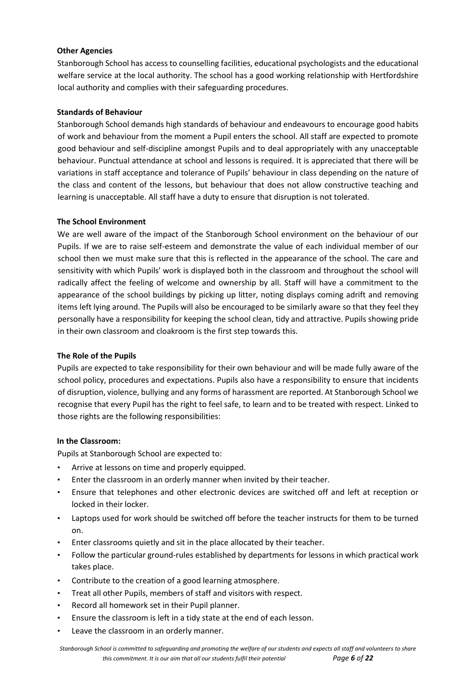# **Other Agencies**

Stanborough School has access to counselling facilities, educational psychologists and the educational welfare service at the local authority. The school has a good working relationship with Hertfordshire local authority and complies with their safeguarding procedures.

# **Standards of Behaviour**

Stanborough School demands high standards of behaviour and endeavours to encourage good habits of work and behaviour from the moment a Pupil enters the school. All staff are expected to promote good behaviour and self-discipline amongst Pupils and to deal appropriately with any unacceptable behaviour. Punctual attendance at school and lessons is required. It is appreciated that there will be variations in staff acceptance and tolerance of Pupils' behaviour in class depending on the nature of the class and content of the lessons, but behaviour that does not allow constructive teaching and learning is unacceptable. All staff have a duty to ensure that disruption is not tolerated.

# **The School Environment**

We are well aware of the impact of the Stanborough School environment on the behaviour of our Pupils. If we are to raise self-esteem and demonstrate the value of each individual member of our school then we must make sure that this is reflected in the appearance of the school. The care and sensitivity with which Pupils' work is displayed both in the classroom and throughout the school will radically affect the feeling of welcome and ownership by all. Staff will have a commitment to the appearance of the school buildings by picking up litter, noting displays coming adrift and removing items left lying around. The Pupils will also be encouraged to be similarly aware so that they feel they personally have a responsibility for keeping the school clean, tidy and attractive. Pupils showing pride in their own classroom and cloakroom is the first step towards this.

#### **The Role of the Pupils**

Pupils are expected to take responsibility for their own behaviour and will be made fully aware of the school policy, procedures and expectations. Pupils also have a responsibility to ensure that incidents of disruption, violence, bullying and any forms of harassment are reported. At Stanborough School we recognise that every Pupil has the right to feel safe, to learn and to be treated with respect. Linked to those rights are the following responsibilities:

#### **In the Classroom:**

Pupils at Stanborough School are expected to:

- Arrive at lessons on time and properly equipped.
- Enter the classroom in an orderly manner when invited by their teacher.
- Ensure that telephones and other electronic devices are switched off and left at reception or locked in their locker.
- Laptops used for work should be switched off before the teacher instructs for them to be turned on.
- Enter classrooms quietly and sit in the place allocated by their teacher.
- Follow the particular ground-rules established by departments for lessons in which practical work takes place.
- Contribute to the creation of a good learning atmosphere.
- Treat all other Pupils, members of staff and visitors with respect.
- Record all homework set in their Pupil planner.
- Ensure the classroom is left in a tidy state at the end of each lesson.
- Leave the classroom in an orderly manner.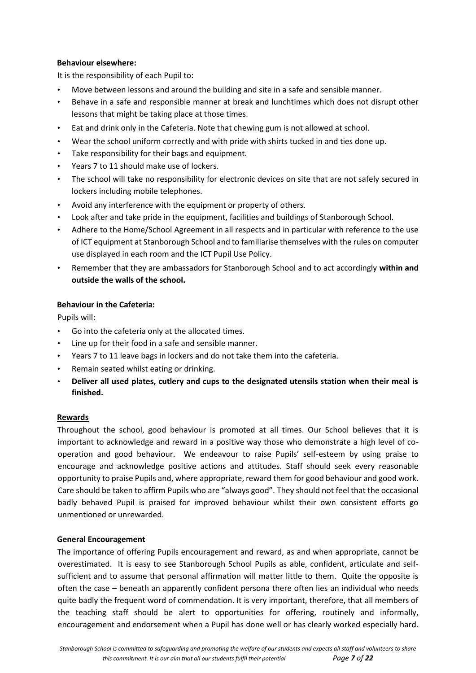# **Behaviour elsewhere:**

It is the responsibility of each Pupil to:

- Move between lessons and around the building and site in a safe and sensible manner.
- Behave in a safe and responsible manner at break and lunchtimes which does not disrupt other lessons that might be taking place at those times.
- Eat and drink only in the Cafeteria. Note that chewing gum is not allowed at school.
- Wear the school uniform correctly and with pride with shirts tucked in and ties done up.
- Take responsibility for their bags and equipment.
- Years 7 to 11 should make use of lockers.
- The school will take no responsibility for electronic devices on site that are not safely secured in lockers including mobile telephones.
- Avoid any interference with the equipment or property of others.
- Look after and take pride in the equipment, facilities and buildings of Stanborough School.
- Adhere to the Home/School Agreement in all respects and in particular with reference to the use of ICT equipment at Stanborough School and to familiarise themselves with the rules on computer use displayed in each room and the ICT Pupil Use Policy.
- Remember that they are ambassadors for Stanborough School and to act accordingly **within and outside the walls of the school.**

# **Behaviour in the Cafeteria:**

Pupils will:

- Go into the cafeteria only at the allocated times.
- Line up for their food in a safe and sensible manner.
- Years 7 to 11 leave bags in lockers and do not take them into the cafeteria.
- Remain seated whilst eating or drinking.
- **Deliver all used plates, cutlery and cups to the designated utensils station when their meal is finished.**

#### **Rewards**

Throughout the school, good behaviour is promoted at all times. Our School believes that it is important to acknowledge and reward in a positive way those who demonstrate a high level of cooperation and good behaviour. We endeavour to raise Pupils' self-esteem by using praise to encourage and acknowledge positive actions and attitudes. Staff should seek every reasonable opportunity to praise Pupils and, where appropriate, reward them for good behaviour and good work. Care should be taken to affirm Pupils who are "always good". They should not feel that the occasional badly behaved Pupil is praised for improved behaviour whilst their own consistent efforts go unmentioned or unrewarded.

#### **General Encouragement**

The importance of offering Pupils encouragement and reward, as and when appropriate, cannot be overestimated. It is easy to see Stanborough School Pupils as able, confident, articulate and selfsufficient and to assume that personal affirmation will matter little to them. Quite the opposite is often the case – beneath an apparently confident persona there often lies an individual who needs quite badly the frequent word of commendation. It is very important, therefore, that all members of the teaching staff should be alert to opportunities for offering, routinely and informally, encouragement and endorsement when a Pupil has done well or has clearly worked especially hard.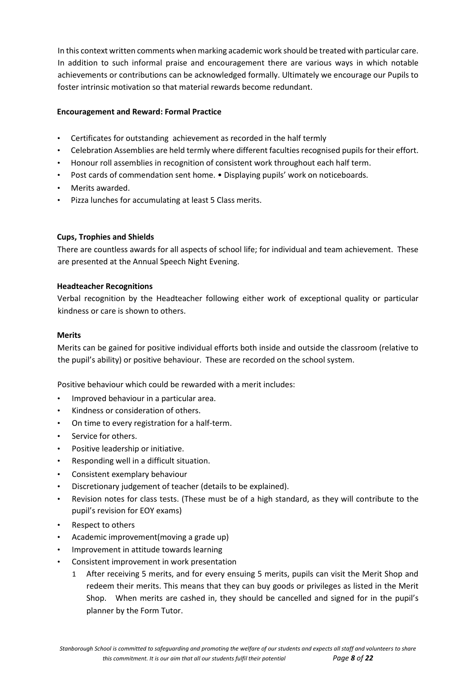In this context written comments when marking academic work should be treated with particular care. In addition to such informal praise and encouragement there are various ways in which notable achievements or contributions can be acknowledged formally. Ultimately we encourage our Pupils to foster intrinsic motivation so that material rewards become redundant.

# **Encouragement and Reward: Formal Practice**

- Certificates for outstanding achievement as recorded in the half termly
- Celebration Assemblies are held termly where different faculties recognised pupils for their effort.
- Honour roll assemblies in recognition of consistent work throughout each half term.
- Post cards of commendation sent home. Displaying pupils' work on noticeboards.
- Merits awarded.
- Pizza lunches for accumulating at least 5 Class merits.

#### **Cups, Trophies and Shields**

There are countless awards for all aspects of school life; for individual and team achievement. These are presented at the Annual Speech Night Evening.

#### **Headteacher Recognitions**

Verbal recognition by the Headteacher following either work of exceptional quality or particular kindness or care is shown to others.

## **Merits**

Merits can be gained for positive individual efforts both inside and outside the classroom (relative to the pupil's ability) or positive behaviour. These are recorded on the school system.

Positive behaviour which could be rewarded with a merit includes:

- Improved behaviour in a particular area.
- Kindness or consideration of others.
- On time to every registration for a half-term.
- Service for others.
- Positive leadership or initiative.
- Responding well in a difficult situation.
- Consistent exemplary behaviour
- Discretionary judgement of teacher (details to be explained).
- Revision notes for class tests. (These must be of a high standard, as they will contribute to the pupil's revision for EOY exams)
- Respect to others
- Academic improvement(moving a grade up)
- Improvement in attitude towards learning
- Consistent improvement in work presentation
	- 1 After receiving 5 merits, and for every ensuing 5 merits, pupils can visit the Merit Shop and redeem their merits. This means that they can buy goods or privileges as listed in the Merit Shop. When merits are cashed in, they should be cancelled and signed for in the pupil's planner by the Form Tutor.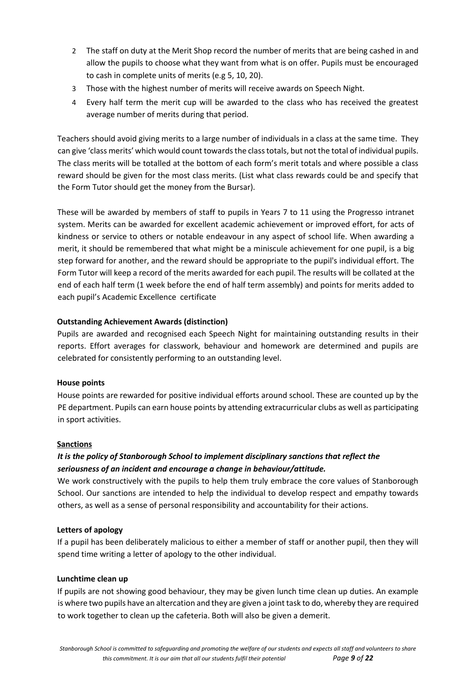- 2 The staff on duty at the Merit Shop record the number of merits that are being cashed in and allow the pupils to choose what they want from what is on offer. Pupils must be encouraged to cash in complete units of merits (e.g 5, 10, 20).
- 3 Those with the highest number of merits will receive awards on Speech Night.
- 4 Every half term the merit cup will be awarded to the class who has received the greatest average number of merits during that period.

Teachers should avoid giving merits to a large number of individuals in a class at the same time. They can give 'class merits' which would count towards the class totals, but not the total of individual pupils. The class merits will be totalled at the bottom of each form's merit totals and where possible a class reward should be given for the most class merits. (List what class rewards could be and specify that the Form Tutor should get the money from the Bursar).

These will be awarded by members of staff to pupils in Years 7 to 11 using the Progresso intranet system. Merits can be awarded for excellent academic achievement or improved effort, for acts of kindness or service to others or notable endeavour in any aspect of school life. When awarding a merit, it should be remembered that what might be a miniscule achievement for one pupil, is a big step forward for another, and the reward should be appropriate to the pupil's individual effort. The Form Tutor will keep a record of the merits awarded for each pupil. The results will be collated at the end of each half term (1 week before the end of half term assembly) and points for merits added to each pupil's Academic Excellence certificate

# **Outstanding Achievement Awards (distinction)**

Pupils are awarded and recognised each Speech Night for maintaining outstanding results in their reports. Effort averages for classwork, behaviour and homework are determined and pupils are celebrated for consistently performing to an outstanding level.

#### **House points**

House points are rewarded for positive individual efforts around school. These are counted up by the PE department. Pupils can earn house points by attending extracurricular clubs as well as participating in sport activities.

#### **Sanctions**

# *It is the policy of Stanborough School to implement disciplinary sanctions that reflect the seriousness of an incident and encourage a change in behaviour/attitude.*

We work constructively with the pupils to help them truly embrace the core values of Stanborough School. Our sanctions are intended to help the individual to develop respect and empathy towards others, as well as a sense of personal responsibility and accountability for their actions.

#### **Letters of apology**

If a pupil has been deliberately malicious to either a member of staff or another pupil, then they will spend time writing a letter of apology to the other individual.

#### **Lunchtime clean up**

If pupils are not showing good behaviour, they may be given lunch time clean up duties. An example is where two pupils have an altercation and they are given a joint task to do, whereby they are required to work together to clean up the cafeteria. Both will also be given a demerit.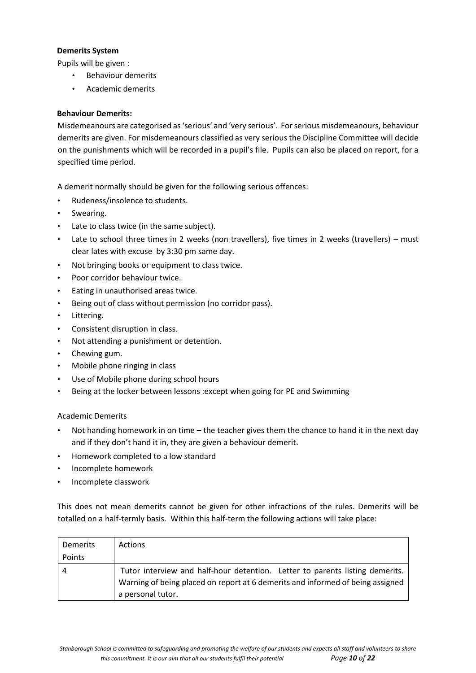# **Demerits System**

Pupils will be given :

- Behaviour demerits
- Academic demerits

# **Behaviour Demerits:**

Misdemeanours are categorised as 'serious' and 'very serious'. For serious misdemeanours, behaviour demerits are given. For misdemeanours classified as very serious the Discipline Committee will decide on the punishments which will be recorded in a pupil's file. Pupils can also be placed on report, for a specified time period.

A demerit normally should be given for the following serious offences:

- Rudeness/insolence to students.
- Swearing.
- Late to class twice (in the same subject).
- Late to school three times in 2 weeks (non travellers), five times in 2 weeks (travellers) must clear lates with excuse by 3:30 pm same day.
- Not bringing books or equipment to class twice.
- Poor corridor behaviour twice.
- Eating in unauthorised areas twice.
- Being out of class without permission (no corridor pass).
- Littering.
- Consistent disruption in class.
- Not attending a punishment or detention.
- Chewing gum.
- Mobile phone ringing in class
- Use of Mobile phone during school hours
- Being at the locker between lessons :except when going for PE and Swimming

# Academic Demerits

- Not handing homework in on time the teacher gives them the chance to hand it in the next day and if they don't hand it in, they are given a behaviour demerit.
- Homework completed to a low standard
- Incomplete homework
- Incomplete classwork

This does not mean demerits cannot be given for other infractions of the rules. Demerits will be totalled on a half-termly basis. Within this half-term the following actions will take place:

| Demerits | Actions                                                                                                                                                                             |
|----------|-------------------------------------------------------------------------------------------------------------------------------------------------------------------------------------|
| Points   |                                                                                                                                                                                     |
|          | Tutor interview and half-hour detention. Letter to parents listing demerits.<br>Warning of being placed on report at 6 demerits and informed of being assigned<br>a personal tutor. |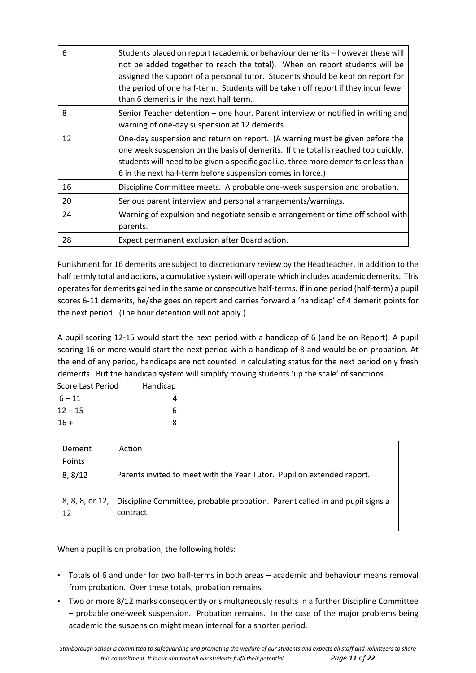| 6  | Students placed on report (academic or behaviour demerits - however these will<br>not be added together to reach the total). When on report students will be<br>assigned the support of a personal tutor. Students should be kept on report for<br>the period of one half-term. Students will be taken off report if they incur fewer<br>than 6 demerits in the next half term. |
|----|---------------------------------------------------------------------------------------------------------------------------------------------------------------------------------------------------------------------------------------------------------------------------------------------------------------------------------------------------------------------------------|
| 8  | Senior Teacher detention – one hour. Parent interview or notified in writing and<br>warning of one-day suspension at 12 demerits.                                                                                                                                                                                                                                               |
| 12 | One-day suspension and return on report. (A warning must be given before the<br>one week suspension on the basis of demerits. If the total is reached too quickly,<br>students will need to be given a specific goal i.e. three more demerits or less than<br>6 in the next half-term before suspension comes in force.)                                                        |
| 16 | Discipline Committee meets. A probable one-week suspension and probation.                                                                                                                                                                                                                                                                                                       |
| 20 | Serious parent interview and personal arrangements/warnings.                                                                                                                                                                                                                                                                                                                    |
| 24 | Warning of expulsion and negotiate sensible arrangement or time off school with<br>parents.                                                                                                                                                                                                                                                                                     |
| 28 | Expect permanent exclusion after Board action.                                                                                                                                                                                                                                                                                                                                  |

Punishment for 16 demerits are subject to discretionary review by the Headteacher. In addition to the half termly total and actions, a cumulative system will operate which includes academic demerits. This operates for demerits gained in the same or consecutive half-terms. If in one period (half-term) a pupil scores 6-11 demerits, he/she goes on report and carries forward a 'handicap' of 4 demerit points for the next period. (The hour detention will not apply.)

A pupil scoring 12-15 would start the next period with a handicap of 6 (and be on Report). A pupil scoring 16 or more would start the next period with a handicap of 8 and would be on probation. At the end of any period, handicaps are not counted in calculating status for the next period only fresh demerits. But the handicap system will simplify moving students 'up the scale' of sanctions.

| Score Last Period | Handicap |
|-------------------|----------|
| $6 - 11$          |          |
| $12 - 15$         | 6        |
| $16 +$            |          |

| Demerit                     | Action                                                                                    |
|-----------------------------|-------------------------------------------------------------------------------------------|
| Points                      |                                                                                           |
| 8, 8/12                     | Parents invited to meet with the Year Tutor. Pupil on extended report.                    |
| $8, 8, 8,$ or 12, $ $<br>12 | Discipline Committee, probable probation. Parent called in and pupil signs a<br>contract. |

When a pupil is on probation, the following holds:

- Totals of 6 and under for two half-terms in both areas academic and behaviour means removal from probation. Over these totals, probation remains.
- Two or more 8/12 marks consequently or simultaneously results in a further Discipline Committee – probable one-week suspension. Probation remains. In the case of the major problems being academic the suspension might mean internal for a shorter period.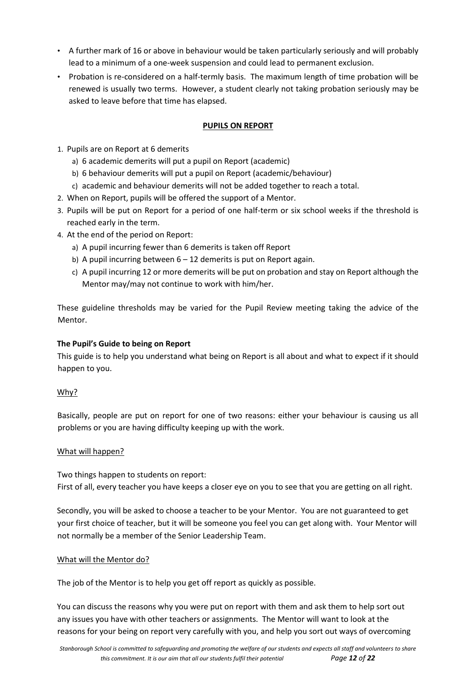- A further mark of 16 or above in behaviour would be taken particularly seriously and will probably lead to a minimum of a one-week suspension and could lead to permanent exclusion.
- Probation is re-considered on a half-termly basis. The maximum length of time probation will be renewed is usually two terms. However, a student clearly not taking probation seriously may be asked to leave before that time has elapsed.

# **PUPILS ON REPORT**

- 1. Pupils are on Report at 6 demerits
	- a) 6 academic demerits will put a pupil on Report (academic)
	- b) 6 behaviour demerits will put a pupil on Report (academic/behaviour)
	- c) academic and behaviour demerits will not be added together to reach a total.
- 2. When on Report, pupils will be offered the support of a Mentor.
- 3. Pupils will be put on Report for a period of one half-term or six school weeks if the threshold is reached early in the term.
- 4. At the end of the period on Report:
	- a) A pupil incurring fewer than 6 demerits is taken off Report
	- b) A pupil incurring between  $6 12$  demerits is put on Report again.
	- c) A pupil incurring 12 or more demerits will be put on probation and stay on Report although the Mentor may/may not continue to work with him/her.

These guideline thresholds may be varied for the Pupil Review meeting taking the advice of the Mentor.

#### **The Pupil's Guide to being on Report**

This guide is to help you understand what being on Report is all about and what to expect if it should happen to you.

#### Why?

Basically, people are put on report for one of two reasons: either your behaviour is causing us all problems or you are having difficulty keeping up with the work.

#### What will happen?

Two things happen to students on report: First of all, every teacher you have keeps a closer eye on you to see that you are getting on all right.

Secondly, you will be asked to choose a teacher to be your Mentor. You are not guaranteed to get your first choice of teacher, but it will be someone you feel you can get along with. Your Mentor will not normally be a member of the Senior Leadership Team.

#### What will the Mentor do?

The job of the Mentor is to help you get off report as quickly as possible.

You can discuss the reasons why you were put on report with them and ask them to help sort out any issues you have with other teachers or assignments. The Mentor will want to look at the reasons for your being on report very carefully with you, and help you sort out ways of overcoming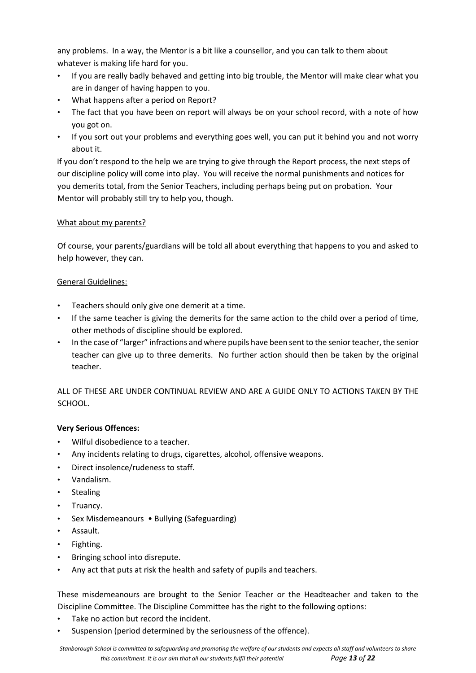any problems. In a way, the Mentor is a bit like a counsellor, and you can talk to them about whatever is making life hard for you.

- If you are really badly behaved and getting into big trouble, the Mentor will make clear what you are in danger of having happen to you.
- What happens after a period on Report?
- The fact that you have been on report will always be on your school record, with a note of how you got on.
- If you sort out your problems and everything goes well, you can put it behind you and not worry about it.

If you don't respond to the help we are trying to give through the Report process, the next steps of our discipline policy will come into play. You will receive the normal punishments and notices for you demerits total, from the Senior Teachers, including perhaps being put on probation. Your Mentor will probably still try to help you, though.

# What about my parents?

Of course, your parents/guardians will be told all about everything that happens to you and asked to help however, they can.

# General Guidelines:

- Teachers should only give one demerit at a time.
- If the same teacher is giving the demerits for the same action to the child over a period of time, other methods of discipline should be explored.
- In the case of "larger" infractions and where pupils have been sent to the senior teacher, the senior teacher can give up to three demerits. No further action should then be taken by the original teacher.

ALL OF THESE ARE UNDER CONTINUAL REVIEW AND ARE A GUIDE ONLY TO ACTIONS TAKEN BY THE SCHOOL.

# **Very Serious Offences:**

- Wilful disobedience to a teacher.
- Any incidents relating to drugs, cigarettes, alcohol, offensive weapons.
- Direct insolence/rudeness to staff.
- Vandalism.
- Stealing
- Truancy.
- Sex Misdemeanours Bullying (Safeguarding)
- Assault.
- Fighting.
- Bringing school into disrepute.
- Any act that puts at risk the health and safety of pupils and teachers.

These misdemeanours are brought to the Senior Teacher or the Headteacher and taken to the Discipline Committee. The Discipline Committee has the right to the following options:

- Take no action but record the incident.
- Suspension (period determined by the seriousness of the offence).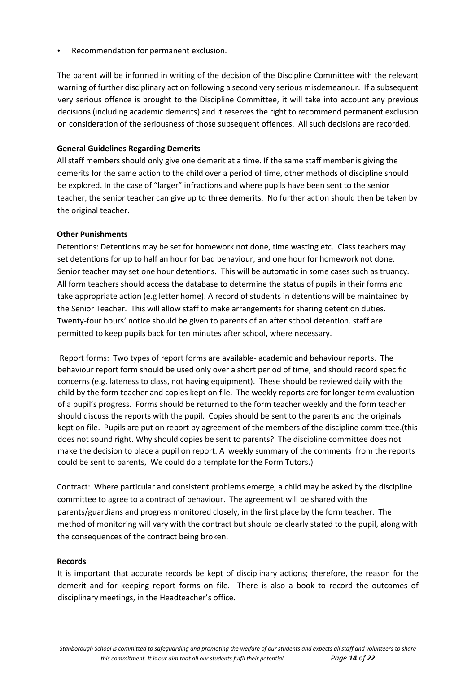• Recommendation for permanent exclusion.

The parent will be informed in writing of the decision of the Discipline Committee with the relevant warning of further disciplinary action following a second very serious misdemeanour. If a subsequent very serious offence is brought to the Discipline Committee, it will take into account any previous decisions (including academic demerits) and it reserves the right to recommend permanent exclusion on consideration of the seriousness of those subsequent offences. All such decisions are recorded.

#### **General Guidelines Regarding Demerits**

All staff members should only give one demerit at a time. If the same staff member is giving the demerits for the same action to the child over a period of time, other methods of discipline should be explored. In the case of "larger" infractions and where pupils have been sent to the senior teacher, the senior teacher can give up to three demerits. No further action should then be taken by the original teacher.

#### **Other Punishments**

Detentions: Detentions may be set for homework not done, time wasting etc. Class teachers may set detentions for up to half an hour for bad behaviour, and one hour for homework not done. Senior teacher may set one hour detentions. This will be automatic in some cases such as truancy. All form teachers should access the database to determine the status of pupils in their forms and take appropriate action (e.g letter home). A record of students in detentions will be maintained by the Senior Teacher. This will allow staff to make arrangements for sharing detention duties. Twenty-four hours' notice should be given to parents of an after school detention. staff are permitted to keep pupils back for ten minutes after school, where necessary.

Report forms: Two types of report forms are available- academic and behaviour reports. The behaviour report form should be used only over a short period of time, and should record specific concerns (e.g. lateness to class, not having equipment). These should be reviewed daily with the child by the form teacher and copies kept on file. The weekly reports are for longer term evaluation of a pupil's progress. Forms should be returned to the form teacher weekly and the form teacher should discuss the reports with the pupil. Copies should be sent to the parents and the originals kept on file. Pupils are put on report by agreement of the members of the discipline committee.(this does not sound right. Why should copies be sent to parents? The discipline committee does not make the decision to place a pupil on report. A weekly summary of the comments from the reports could be sent to parents, We could do a template for the Form Tutors.)

Contract: Where particular and consistent problems emerge, a child may be asked by the discipline committee to agree to a contract of behaviour. The agreement will be shared with the parents/guardians and progress monitored closely, in the first place by the form teacher. The method of monitoring will vary with the contract but should be clearly stated to the pupil, along with the consequences of the contract being broken.

#### **Records**

It is important that accurate records be kept of disciplinary actions; therefore, the reason for the demerit and for keeping report forms on file. There is also a book to record the outcomes of disciplinary meetings, in the Headteacher's office.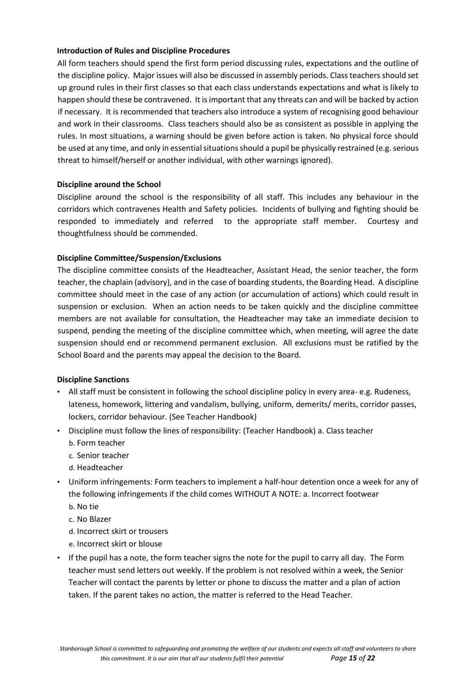## **Introduction of Rules and Discipline Procedures**

All form teachers should spend the first form period discussing rules, expectations and the outline of the discipline policy. Major issues will also be discussed in assembly periods. Class teachers should set up ground rules in their first classes so that each class understands expectations and what is likely to happen should these be contravened. It is important that any threats can and will be backed by action if necessary. It is recommended that teachers also introduce a system of recognising good behaviour and work in their classrooms. Class teachers should also be as consistent as possible in applying the rules. In most situations, a warning should be given before action is taken. No physical force should be used at any time, and only in essential situations should a pupil be physically restrained (e.g. serious threat to himself/herself or another individual, with other warnings ignored).

#### **Discipline around the School**

Discipline around the school is the responsibility of all staff. This includes any behaviour in the corridors which contravenes Health and Safety policies. Incidents of bullying and fighting should be responded to immediately and referred to the appropriate staff member. Courtesy and thoughtfulness should be commended.

# **Discipline Committee/Suspension/Exclusions**

The discipline committee consists of the Headteacher, Assistant Head, the senior teacher, the form teacher, the chaplain (advisory), and in the case of boarding students, the Boarding Head. A discipline committee should meet in the case of any action (or accumulation of actions) which could result in suspension or exclusion. When an action needs to be taken quickly and the discipline committee members are not available for consultation, the Headteacher may take an immediate decision to suspend, pending the meeting of the discipline committee which, when meeting, will agree the date suspension should end or recommend permanent exclusion. All exclusions must be ratified by the School Board and the parents may appeal the decision to the Board.

#### **Discipline Sanctions**

- All staff must be consistent in following the school discipline policy in every area- e.g. Rudeness, lateness, homework, littering and vandalism, bullying, uniform, demerits/ merits, corridor passes, lockers, corridor behaviour. (See Teacher Handbook)
- Discipline must follow the lines of responsibility: (Teacher Handbook) a. Class teacher b. Form teacher
	- c. Senior teacher
	- d. Headteacher
- Uniform infringements: Form teachers to implement a half-hour detention once a week for any of the following infringements if the child comes WITHOUT A NOTE: a. Incorrect footwear
	- b. No tie
	- c. No Blazer
	- d. Incorrect skirt or trousers
	- e. Incorrect skirt or blouse
- If the pupil has a note, the form teacher signs the note for the pupil to carry all day. The Form teacher must send letters out weekly. If the problem is not resolved within a week, the Senior Teacher will contact the parents by letter or phone to discuss the matter and a plan of action taken. If the parent takes no action, the matter is referred to the Head Teacher.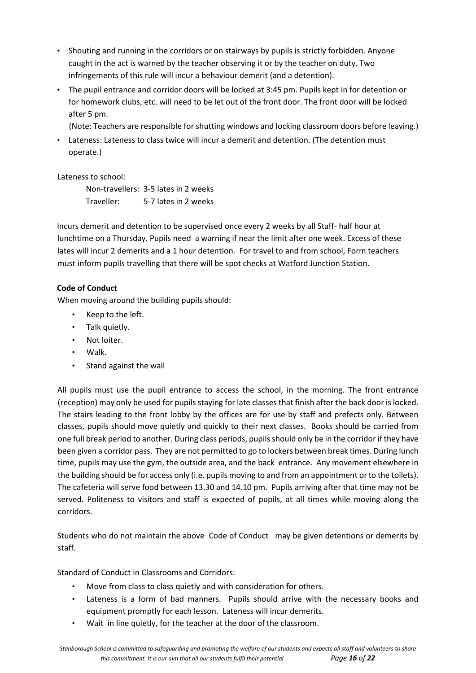- Shouting and running in the corridors or on stairways by pupils is strictly forbidden. Anyone caught in the act is warned by the teacher observing it or by the teacher on duty. Two infringements of this rule will incur a behaviour demerit (and a detention).
- The pupil entrance and corridor doors will be locked at 3:45 pm. Pupils kept in for detention or for homework clubs, etc. will need to be let out of the front door. The front door will be locked after 5 pm.
	- (Note: Teachers are responsible for shutting windows and locking classroom doors before leaving.)
- Lateness: Lateness to class twice will incur a demerit and detention. (The detention must operate.)

Lateness to school:

Non-travellers: 3-5 lates in 2 weeks Traveller: 5-7 lates in 2 weeks

Incurs demerit and detention to be supervised once every 2 weeks by all Staff- half hour at lunchtime on a Thursday. Pupils need a warning if near the limit after one week. Excess of these lates will incur 2 demerits and a 1 hour detention. For travel to and from school, Form teachers must inform pupils travelling that there will be spot checks at Watford Junction Station.

# **Code of Conduct**

When moving around the building pupils should:

- Keep to the left.
- Talk quietly.
- Not loiter.
- Walk.
- Stand against the wall

All pupils must use the pupil entrance to access the school, in the morning. The front entrance (reception) may only be used for pupils staying for late classes that finish after the back door is locked. The stairs leading to the front lobby by the offices are for use by staff and prefects only. Between classes, pupils should move quietly and quickly to their next classes. Books should be carried from one full break period to another. During class periods, pupils should only be in the corridor if they have been given a corridor pass. They are not permitted to go to lockers between break times. During lunch time, pupils may use the gym, the outside area, and the back entrance. Any movement elsewhere in the building should be for access only (i.e. pupils moving to and from an appointment or to the toilets). The cafeteria will serve food between 13.30 and 14.10 pm. Pupils arriving after that time may not be served. Politeness to visitors and staff is expected of pupils, at all times while moving along the corridors.

Students who do not maintain the above Code of Conduct may be given detentions or demerits by staff.

Standard of Conduct in Classrooms and Corridors:

- Move from class to class quietly and with consideration for others.
- Lateness is a form of bad manners. Pupils should arrive with the necessary books and equipment promptly for each lesson. Lateness will incur demerits.
- Wait in line quietly, for the teacher at the door of the classroom.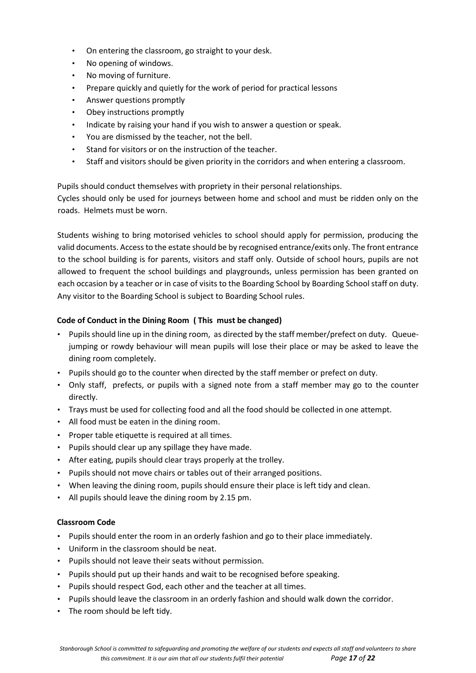- On entering the classroom, go straight to your desk.
- No opening of windows.
- No moving of furniture.
- Prepare quickly and quietly for the work of period for practical lessons
- Answer questions promptly
- Obey instructions promptly
- Indicate by raising your hand if you wish to answer a question or speak.
- You are dismissed by the teacher, not the bell.
- Stand for visitors or on the instruction of the teacher.
- Staff and visitors should be given priority in the corridors and when entering a classroom.

Pupils should conduct themselves with propriety in their personal relationships.

Cycles should only be used for journeys between home and school and must be ridden only on the roads. Helmets must be worn.

Students wishing to bring motorised vehicles to school should apply for permission, producing the valid documents. Access to the estate should be by recognised entrance/exits only. The front entrance to the school building is for parents, visitors and staff only. Outside of school hours, pupils are not allowed to frequent the school buildings and playgrounds, unless permission has been granted on each occasion by a teacher or in case of visits to the Boarding School by Boarding School staff on duty. Any visitor to the Boarding School is subject to Boarding School rules.

# **Code of Conduct in the Dining Room ( This must be changed)**

- Pupils should line up in the dining room, as directed by the staff member/prefect on duty. Queuejumping or rowdy behaviour will mean pupils will lose their place or may be asked to leave the dining room completely.
- Pupils should go to the counter when directed by the staff member or prefect on duty.
- Only staff, prefects, or pupils with a signed note from a staff member may go to the counter directly.
- Trays must be used for collecting food and all the food should be collected in one attempt.
- All food must be eaten in the dining room.
- Proper table etiquette is required at all times.
- Pupils should clear up any spillage they have made.
- After eating, pupils should clear trays properly at the trolley.
- Pupils should not move chairs or tables out of their arranged positions.
- When leaving the dining room, pupils should ensure their place is left tidy and clean.
- All pupils should leave the dining room by 2.15 pm.

# **Classroom Code**

- Pupils should enter the room in an orderly fashion and go to their place immediately.
- Uniform in the classroom should be neat.
- Pupils should not leave their seats without permission.
- Pupils should put up their hands and wait to be recognised before speaking.
- Pupils should respect God, each other and the teacher at all times.
- Pupils should leave the classroom in an orderly fashion and should walk down the corridor.
- The room should be left tidy.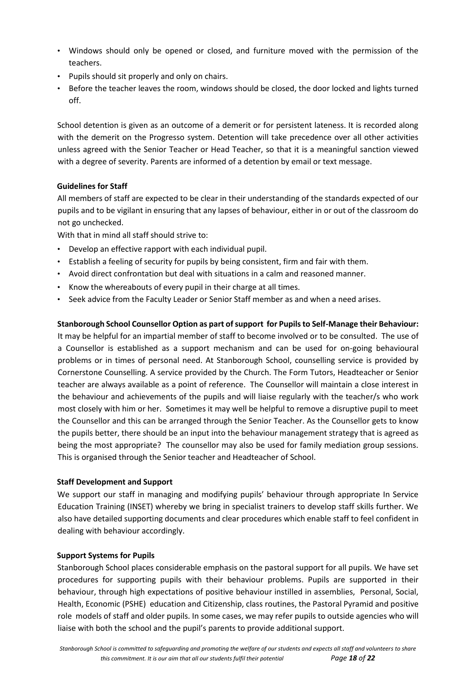- Windows should only be opened or closed, and furniture moved with the permission of the teachers.
- Pupils should sit properly and only on chairs.
- Before the teacher leaves the room, windows should be closed, the door locked and lights turned off.

School detention is given as an outcome of a demerit or for persistent lateness. It is recorded along with the demerit on the Progresso system. Detention will take precedence over all other activities unless agreed with the Senior Teacher or Head Teacher, so that it is a meaningful sanction viewed with a degree of severity. Parents are informed of a detention by email or text message.

# **Guidelines for Staff**

All members of staff are expected to be clear in their understanding of the standards expected of our pupils and to be vigilant in ensuring that any lapses of behaviour, either in or out of the classroom do not go unchecked.

With that in mind all staff should strive to:

- Develop an effective rapport with each individual pupil.
- Establish a feeling of security for pupils by being consistent, firm and fair with them.
- Avoid direct confrontation but deal with situations in a calm and reasoned manner.
- Know the whereabouts of every pupil in their charge at all times.
- Seek advice from the Faculty Leader or Senior Staff member as and when a need arises.

# **Stanborough School Counsellor Option as part of support for Pupils to Self-Manage their Behaviour:**

It may be helpful for an impartial member of staff to become involved or to be consulted. The use of a Counsellor is established as a support mechanism and can be used for on-going behavioural problems or in times of personal need. At Stanborough School, counselling service is provided by Cornerstone Counselling. A service provided by the Church. The Form Tutors, Headteacher or Senior teacher are always available as a point of reference. The Counsellor will maintain a close interest in the behaviour and achievements of the pupils and will liaise regularly with the teacher/s who work most closely with him or her. Sometimes it may well be helpful to remove a disruptive pupil to meet the Counsellor and this can be arranged through the Senior Teacher. As the Counsellor gets to know the pupils better, there should be an input into the behaviour management strategy that is agreed as being the most appropriate? The counsellor may also be used for family mediation group sessions. This is organised through the Senior teacher and Headteacher of School.

#### **Staff Development and Support**

We support our staff in managing and modifying pupils' behaviour through appropriate In Service Education Training (INSET) whereby we bring in specialist trainers to develop staff skills further. We also have detailed supporting documents and clear procedures which enable staff to feel confident in dealing with behaviour accordingly.

#### **Support Systems for Pupils**

Stanborough School places considerable emphasis on the pastoral support for all pupils. We have set procedures for supporting pupils with their behaviour problems. Pupils are supported in their behaviour, through high expectations of positive behaviour instilled in assemblies, Personal, Social, Health, Economic (PSHE) education and Citizenship, class routines, the Pastoral Pyramid and positive role models of staff and older pupils. In some cases, we may refer pupils to outside agencies who will liaise with both the school and the pupil's parents to provide additional support.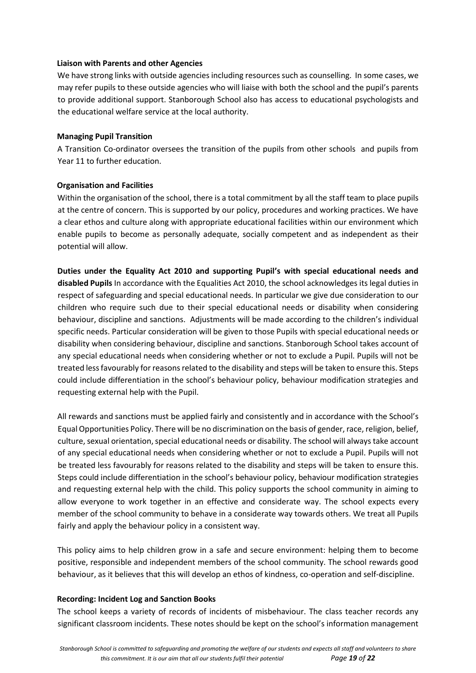#### **Liaison with Parents and other Agencies**

We have strong links with outside agencies including resources such as counselling. In some cases, we may refer pupils to these outside agencies who will liaise with both the school and the pupil's parents to provide additional support. Stanborough School also has access to educational psychologists and the educational welfare service at the local authority.

#### **Managing Pupil Transition**

A Transition Co-ordinator oversees the transition of the pupils from other schools and pupils from Year 11 to further education.

# **Organisation and Facilities**

Within the organisation of the school, there is a total commitment by all the staff team to place pupils at the centre of concern. This is supported by our policy, procedures and working practices. We have a clear ethos and culture along with appropriate educational facilities within our environment which enable pupils to become as personally adequate, socially competent and as independent as their potential will allow.

**Duties under the Equality Act 2010 and supporting Pupil's with special educational needs and disabled Pupils** In accordance with the Equalities Act 2010, the school acknowledges its legal duties in respect of safeguarding and special educational needs. In particular we give due consideration to our children who require such due to their special educational needs or disability when considering behaviour, discipline and sanctions. Adjustments will be made according to the children's individual specific needs. Particular consideration will be given to those Pupils with special educational needs or disability when considering behaviour, discipline and sanctions. Stanborough School takes account of any special educational needs when considering whether or not to exclude a Pupil. Pupils will not be treated less favourably for reasons related to the disability and steps will be taken to ensure this. Steps could include differentiation in the school's behaviour policy, behaviour modification strategies and requesting external help with the Pupil.

All rewards and sanctions must be applied fairly and consistently and in accordance with the School's Equal Opportunities Policy. There will be no discrimination on the basis of gender, race, religion, belief, culture, sexual orientation, special educational needs or disability. The school will always take account of any special educational needs when considering whether or not to exclude a Pupil. Pupils will not be treated less favourably for reasons related to the disability and steps will be taken to ensure this. Steps could include differentiation in the school's behaviour policy, behaviour modification strategies and requesting external help with the child. This policy supports the school community in aiming to allow everyone to work together in an effective and considerate way. The school expects every member of the school community to behave in a considerate way towards others. We treat all Pupils fairly and apply the behaviour policy in a consistent way.

This policy aims to help children grow in a safe and secure environment: helping them to become positive, responsible and independent members of the school community. The school rewards good behaviour, as it believes that this will develop an ethos of kindness, co-operation and self-discipline.

#### **Recording: Incident Log and Sanction Books**

The school keeps a variety of records of incidents of misbehaviour. The class teacher records any significant classroom incidents. These notes should be kept on the school's information management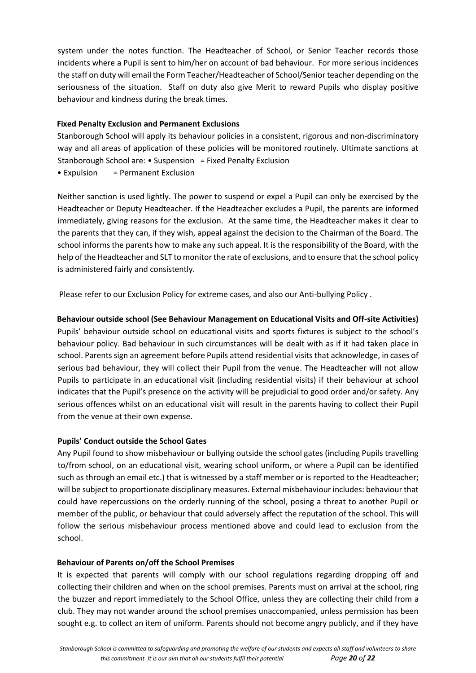system under the notes function. The Headteacher of School, or Senior Teacher records those incidents where a Pupil is sent to him/her on account of bad behaviour. For more serious incidences the staff on duty will email the Form Teacher/Headteacher of School/Senior teacher depending on the seriousness of the situation. Staff on duty also give Merit to reward Pupils who display positive behaviour and kindness during the break times.

## **Fixed Penalty Exclusion and Permanent Exclusions**

Stanborough School will apply its behaviour policies in a consistent, rigorous and non-discriminatory way and all areas of application of these policies will be monitored routinely. Ultimate sanctions at Stanborough School are: • Suspension = Fixed Penalty Exclusion • Expulsion = Permanent Exclusion

Neither sanction is used lightly. The power to suspend or expel a Pupil can only be exercised by the Headteacher or Deputy Headteacher. If the Headteacher excludes a Pupil, the parents are informed immediately, giving reasons for the exclusion. At the same time, the Headteacher makes it clear to the parents that they can, if they wish, appeal against the decision to the Chairman of the Board. The school informs the parents how to make any such appeal. It is the responsibility of the Board, with the help of the Headteacher and SLT to monitor the rate of exclusions, and to ensure that the school policy is administered fairly and consistently.

Please refer to our Exclusion Policy for extreme cases, and also our Anti-bullying Policy .

# **Behaviour outside school (See Behaviour Management on Educational Visits and Off-site Activities)**

Pupils' behaviour outside school on educational visits and sports fixtures is subject to the school's behaviour policy. Bad behaviour in such circumstances will be dealt with as if it had taken place in school. Parents sign an agreement before Pupils attend residential visits that acknowledge, in cases of serious bad behaviour, they will collect their Pupil from the venue. The Headteacher will not allow Pupils to participate in an educational visit (including residential visits) if their behaviour at school indicates that the Pupil's presence on the activity will be prejudicial to good order and/or safety. Any serious offences whilst on an educational visit will result in the parents having to collect their Pupil from the venue at their own expense.

#### **Pupils' Conduct outside the School Gates**

Any Pupil found to show misbehaviour or bullying outside the school gates (including Pupils travelling to/from school, on an educational visit, wearing school uniform, or where a Pupil can be identified such as through an email etc.) that is witnessed by a staff member or is reported to the Headteacher; will be subject to proportionate disciplinary measures. External misbehaviour includes: behaviour that could have repercussions on the orderly running of the school, posing a threat to another Pupil or member of the public, or behaviour that could adversely affect the reputation of the school. This will follow the serious misbehaviour process mentioned above and could lead to exclusion from the school.

#### **Behaviour of Parents on/off the School Premises**

It is expected that parents will comply with our school regulations regarding dropping off and collecting their children and when on the school premises. Parents must on arrival at the school, ring the buzzer and report immediately to the School Office, unless they are collecting their child from a club. They may not wander around the school premises unaccompanied, unless permission has been sought e.g. to collect an item of uniform. Parents should not become angry publicly, and if they have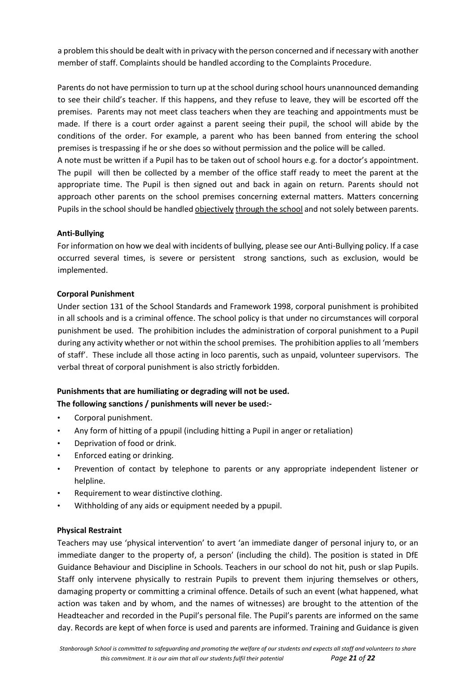a problem this should be dealt with in privacy with the person concerned and if necessary with another member of staff. Complaints should be handled according to the Complaints Procedure.

Parents do not have permission to turn up at the school during school hours unannounced demanding to see their child's teacher. If this happens, and they refuse to leave, they will be escorted off the premises. Parents may not meet class teachers when they are teaching and appointments must be made. If there is a court order against a parent seeing their pupil, the school will abide by the conditions of the order. For example, a parent who has been banned from entering the school premises is trespassing if he or she does so without permission and the police will be called.

A note must be written if a Pupil has to be taken out of school hours e.g. for a doctor's appointment. The pupil will then be collected by a member of the office staff ready to meet the parent at the appropriate time. The Pupil is then signed out and back in again on return. Parents should not approach other parents on the school premises concerning external matters. Matters concerning Pupils in the school should be handled objectively through the school and not solely between parents.

# **Anti-Bullying**

For information on how we deal with incidents of bullying, please see our Anti-Bullying policy. If a case occurred several times, is severe or persistent strong sanctions, such as exclusion, would be implemented.

# **Corporal Punishment**

Under section 131 of the School Standards and Framework 1998, corporal punishment is prohibited in all schools and is a criminal offence. The school policy is that under no circumstances will corporal punishment be used. The prohibition includes the administration of corporal punishment to a Pupil during any activity whether or not within the school premises. The prohibition applies to all 'members of staff'. These include all those acting in loco parentis, such as unpaid, volunteer supervisors. The verbal threat of corporal punishment is also strictly forbidden.

# **Punishments that are humiliating or degrading will not be used.**

# **The following sanctions / punishments will never be used:-**

- Corporal punishment.
- Any form of hitting of a ppupil (including hitting a Pupil in anger or retaliation)
- Deprivation of food or drink.
- Enforced eating or drinking.
- Prevention of contact by telephone to parents or any appropriate independent listener or helpline.
- Requirement to wear distinctive clothing.
- Withholding of any aids or equipment needed by a ppupil.

# **Physical Restraint**

Teachers may use 'physical intervention' to avert 'an immediate danger of personal injury to, or an immediate danger to the property of, a person' (including the child). The position is stated in DfE Guidance Behaviour and Discipline in Schools. Teachers in our school do not hit, push or slap Pupils. Staff only intervene physically to restrain Pupils to prevent them injuring themselves or others, damaging property or committing a criminal offence. Details of such an event (what happened, what action was taken and by whom, and the names of witnesses) are brought to the attention of the Headteacher and recorded in the Pupil's personal file. The Pupil's parents are informed on the same day. Records are kept of when force is used and parents are informed. Training and Guidance is given